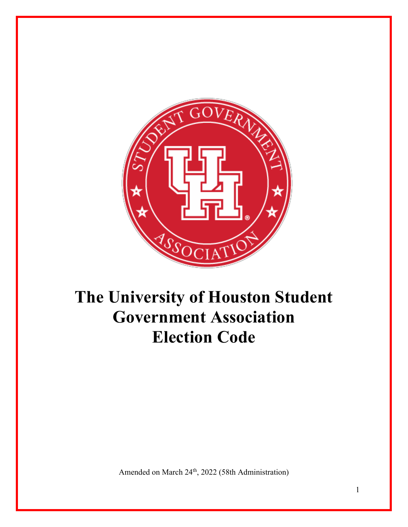

# **The University of Houston Student Government Association Election Code**

Amended on March 24<sup>th</sup>, 2022 (58th Administration)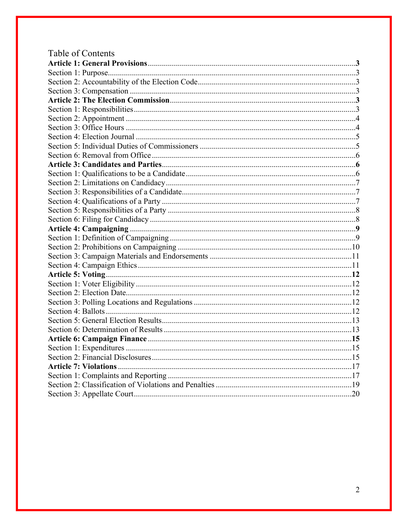| Table of Contents |  |
|-------------------|--|
|                   |  |
|                   |  |
|                   |  |
|                   |  |
|                   |  |
|                   |  |
|                   |  |
|                   |  |
|                   |  |
|                   |  |
|                   |  |
|                   |  |
|                   |  |
|                   |  |
|                   |  |
|                   |  |
|                   |  |
|                   |  |
|                   |  |
|                   |  |
|                   |  |
|                   |  |
|                   |  |
|                   |  |
|                   |  |
|                   |  |
|                   |  |
|                   |  |
|                   |  |
|                   |  |
|                   |  |
|                   |  |
|                   |  |
|                   |  |
|                   |  |
|                   |  |
|                   |  |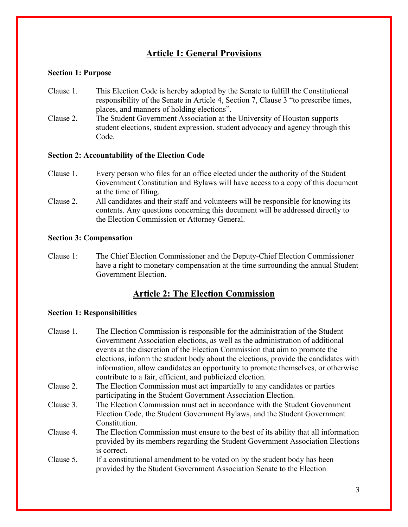# **Article 1: General Provisions**

#### **Section 1: Purpose**

- Clause 1. This Election Code is hereby adopted by the Senate to fulfill the Constitutional responsibility of the Senate in Article 4, Section 7, Clause 3 "to prescribe times, places, and manners of holding elections".
- Clause 2. The Student Government Association at the University of Houston supports student elections, student expression, student advocacy and agency through this Code.

#### **Section 2: Accountability of the Election Code**

- Clause 1. Every person who files for an office elected under the authority of the Student Government Constitution and Bylaws will have access to a copy of this document at the time of filing.
- Clause 2. All candidates and their staff and volunteers will be responsible for knowing its contents. Any questions concerning this document will be addressed directly to the Election Commission or Attorney General.

#### **Section 3: Compensation**

Clause 1: The Chief Election Commissioner and the Deputy-Chief Election Commissioner have a right to monetary compensation at the time surrounding the annual Student Government Election.

# **Article 2: The Election Commission**

#### **Section 1: Responsibilities**

| Government Association elections, as well as the administration of additional                    |  |
|--------------------------------------------------------------------------------------------------|--|
|                                                                                                  |  |
| events at the discretion of the Election Commission that aim to promote the                      |  |
| elections, inform the student body about the elections, provide the candidates with              |  |
| information, allow candidates an opportunity to promote themselves, or otherwise                 |  |
| contribute to a fair, efficient, and publicized election.                                        |  |
| The Election Commission must act impartially to any candidates or parties<br>Clause 2.           |  |
| participating in the Student Government Association Election.                                    |  |
| The Election Commission must act in accordance with the Student Government<br>Clause 3.          |  |
| Election Code, the Student Government Bylaws, and the Student Government                         |  |
| Constitution.                                                                                    |  |
| Clause 4.<br>The Election Commission must ensure to the best of its ability that all information |  |
| provided by its members regarding the Student Government Association Elections                   |  |
| is correct.                                                                                      |  |
| Clause 5.<br>If a constitutional amendment to be voted on by the student body has been           |  |
| provided by the Student Government Association Senate to the Election                            |  |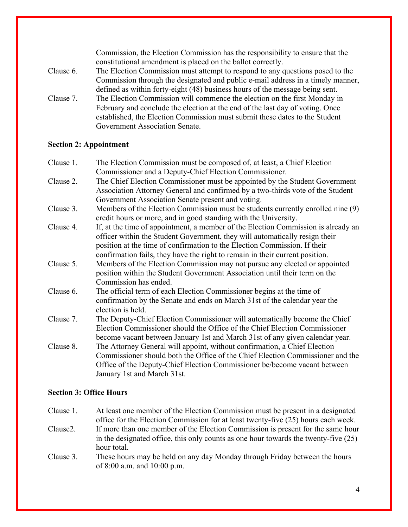|           | Commission, the Election Commission has the responsibility to ensure that the   |
|-----------|---------------------------------------------------------------------------------|
|           | constitutional amendment is placed on the ballot correctly.                     |
| Clause 6. | The Election Commission must attempt to respond to any questions posed to the   |
|           | Commission through the designated and public e-mail address in a timely manner, |
|           | defined as within forty-eight (48) business hours of the message being sent.    |
| Clause 7. | The Election Commission will commence the election on the first Monday in       |
|           | February and conclude the election at the end of the last day of voting. Once   |
|           | established, the Election Commission must submit these dates to the Student     |
|           | Government Association Senate.                                                  |

# **Section 2: Appointment**

| Clause 1. | The Election Commission must be composed of, at least, a Chief Election           |
|-----------|-----------------------------------------------------------------------------------|
|           | Commissioner and a Deputy-Chief Election Commissioner.                            |
| Clause 2. | The Chief Election Commissioner must be appointed by the Student Government       |
|           | Association Attorney General and confirmed by a two-thirds vote of the Student    |
|           | Government Association Senate present and voting.                                 |
| Clause 3. | Members of the Election Commission must be students currently enrolled nine (9)   |
|           | credit hours or more, and in good standing with the University.                   |
| Clause 4. | If, at the time of appointment, a member of the Election Commission is already an |
|           | officer within the Student Government, they will automatically resign their       |
|           | position at the time of confirmation to the Election Commission. If their         |
|           | confirmation fails, they have the right to remain in their current position.      |
| Clause 5. | Members of the Election Commission may not pursue any elected or appointed        |
|           | position within the Student Government Association until their term on the        |
|           | Commission has ended.                                                             |
| Clause 6. | The official term of each Election Commissioner begins at the time of             |
|           | confirmation by the Senate and ends on March 31st of the calendar year the        |
|           | election is held.                                                                 |
| Clause 7. | The Deputy-Chief Election Commissioner will automatically become the Chief        |
|           | Election Commissioner should the Office of the Chief Election Commissioner        |
|           | become vacant between January 1st and March 31st of any given calendar year.      |
| Clause 8. | The Attorney General will appoint, without confirmation, a Chief Election         |
|           | Commissioner should both the Office of the Chief Election Commissioner and the    |
|           | Office of the Deputy-Chief Election Commissioner be/become vacant between         |
|           | January 1st and March 31st.                                                       |

# **Section 3: Office Hours**

| Clause 1.             | At least one member of the Election Commission must be present in a designated                            |
|-----------------------|-----------------------------------------------------------------------------------------------------------|
|                       | office for the Election Commission for at least twenty-five (25) hours each week.                         |
| Clause <sub>2</sub> . | If more than one member of the Election Commission is present for the same hour                           |
|                       | in the designated office, this only counts as one hour towards the twenty-five $(25)$                     |
|                       | hour total.                                                                                               |
| Clause 3.             | These hours may be held on any day Monday through Friday between the hours<br>of 8:00 a.m. and 10:00 p.m. |

4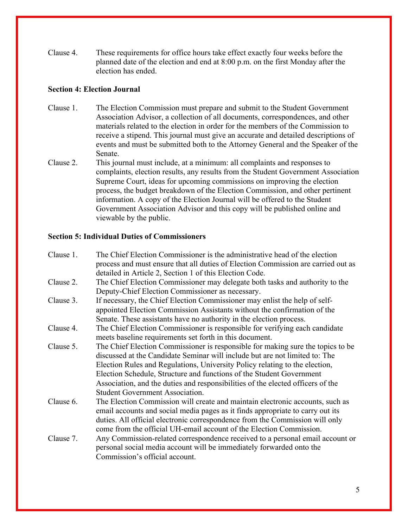Clause 4. These requirements for office hours take effect exactly four weeks before the planned date of the election and end at 8:00 p.m. on the first Monday after the election has ended.

## **Section 4: Election Journal**

- Clause 1. The Election Commission must prepare and submit to the Student Government Association Advisor, a collection of all documents, correspondences, and other materials related to the election in order for the members of the Commission to receive a stipend. This journal must give an accurate and detailed descriptions of events and must be submitted both to the Attorney General and the Speaker of the Senate.
- Clause 2. This journal must include, at a minimum: all complaints and responses to complaints, election results, any results from the Student Government Association Supreme Court, ideas for upcoming commissions on improving the election process, the budget breakdown of the Election Commission, and other pertinent information. A copy of the Election Journal will be offered to the Student Government Association Advisor and this copy will be published online and viewable by the public.

## **Section 5: Individual Duties of Commissioners**

| Clause 1. | The Chief Election Commissioner is the administrative head of the election        |
|-----------|-----------------------------------------------------------------------------------|
|           | process and must ensure that all duties of Election Commission are carried out as |
|           | detailed in Article 2, Section 1 of this Election Code.                           |
| Clause 2. | The Chief Election Commissioner may delegate both tasks and authority to the      |
|           | Deputy-Chief Election Commissioner as necessary.                                  |
| Clause 3. | If necessary, the Chief Election Commissioner may enlist the help of self-        |
|           | appointed Election Commission Assistants without the confirmation of the          |
|           | Senate. These assistants have no authority in the election process.               |
| Clause 4. | The Chief Election Commissioner is responsible for verifying each candidate       |
|           | meets baseline requirements set forth in this document.                           |
| Clause 5. | The Chief Election Commissioner is responsible for making sure the topics to be   |
|           | discussed at the Candidate Seminar will include but are not limited to: The       |
|           | Election Rules and Regulations, University Policy relating to the election,       |
|           | Election Schedule, Structure and functions of the Student Government              |
|           | Association, and the duties and responsibilities of the elected officers of the   |
|           | <b>Student Government Association.</b>                                            |
| Clause 6. | The Election Commission will create and maintain electronic accounts, such as     |
|           | email accounts and social media pages as it finds appropriate to carry out its    |
|           | duties. All official electronic correspondence from the Commission will only      |
|           | come from the official UH-email account of the Election Commission.               |
| Clause 7. | Any Commission-related correspondence received to a personal email account or     |
|           | personal social media account will be immediately forwarded onto the              |
|           | Commission's official account.                                                    |
|           |                                                                                   |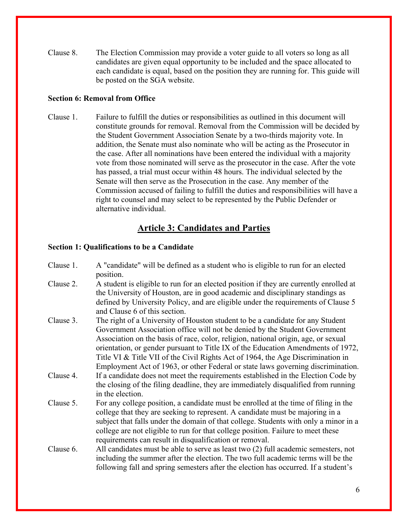Clause 8. The Election Commission may provide a voter guide to all voters so long as all candidates are given equal opportunity to be included and the space allocated to each candidate is equal, based on the position they are running for. This guide will be posted on the SGA website.

## **Section 6: Removal from Office**

Clause 1. Failure to fulfill the duties or responsibilities as outlined in this document will constitute grounds for removal. Removal from the Commission will be decided by the Student Government Association Senate by a two-thirds majority vote. In addition, the Senate must also nominate who will be acting as the Prosecutor in the case. After all nominations have been entered the individual with a majority vote from those nominated will serve as the prosecutor in the case. After the vote has passed, a trial must occur within 48 hours. The individual selected by the Senate will then serve as the Prosecution in the case. Any member of the Commission accused of failing to fulfill the duties and responsibilities will have a right to counsel and may select to be represented by the Public Defender or alternative individual.

# **Article 3: Candidates and Parties**

## **Section 1: Qualifications to be a Candidate**

| Clause 1. | A "candidate" will be defined as a student who is eligible to run for an elected<br>position.                                                                                                                                                                                                                                                                                                                                                                                                                 |
|-----------|---------------------------------------------------------------------------------------------------------------------------------------------------------------------------------------------------------------------------------------------------------------------------------------------------------------------------------------------------------------------------------------------------------------------------------------------------------------------------------------------------------------|
| Clause 2. | A student is eligible to run for an elected position if they are currently enrolled at<br>the University of Houston, are in good academic and disciplinary standings as<br>defined by University Policy, and are eligible under the requirements of Clause 5<br>and Clause 6 of this section.                                                                                                                                                                                                                 |
| Clause 3. | The right of a University of Houston student to be a candidate for any Student<br>Government Association office will not be denied by the Student Government<br>Association on the basis of race, color, religion, national origin, age, or sexual<br>orientation, or gender pursuant to Title IX of the Education Amendments of 1972,<br>Title VI & Title VII of the Civil Rights Act of 1964, the Age Discrimination in<br>Employment Act of 1963, or other Federal or state laws governing discrimination. |
| Clause 4. | If a candidate does not meet the requirements established in the Election Code by<br>the closing of the filing deadline, they are immediately disqualified from running<br>in the election.                                                                                                                                                                                                                                                                                                                   |
| Clause 5. | For any college position, a candidate must be enrolled at the time of filing in the<br>college that they are seeking to represent. A candidate must be majoring in a<br>subject that falls under the domain of that college. Students with only a minor in a<br>college are not eligible to run for that college position. Failure to meet these<br>requirements can result in disqualification or removal.                                                                                                   |
| Clause 6. | All candidates must be able to serve as least two $(2)$ full academic semesters, not<br>including the summer after the election. The two full academic terms will be the<br>following fall and spring semesters after the election has occurred. If a student's                                                                                                                                                                                                                                               |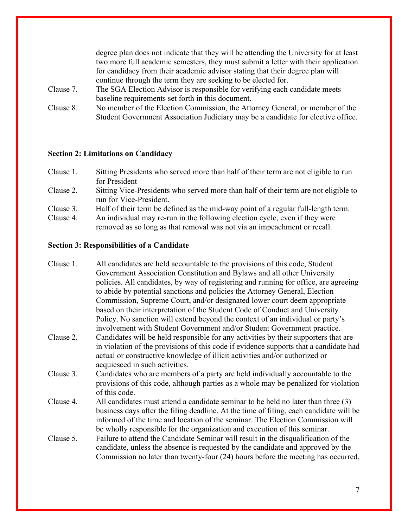degree plan does not indicate that they will be attending the University for at least two more full academic semesters, they must submit a letter with their application for candidacy from their academic advisor stating that their degree plan will continue through the term they are seeking to be elected for. Clause 7. The SGA Election Advisor is responsible for verifying each candidate meets baseline requirements set forth in this document. Clause 8. No member of the Election Commission, the Attorney General, or member of the

Student Government Association Judiciary may be a candidate for elective office.

#### **Section 2: Limitations on Candidacy**

- Clause 1. Sitting Presidents who served more than half of their term are not eligible to run for President
- Clause 2. Sitting Vice-Presidents who served more than half of their term are not eligible to run for Vice-President.
- Clause 3. Half of their term be defined as the mid-way point of a regular full-length term.
- Clause 4. An individual may re-run in the following election cycle, even if they were removed as so long as that removal was not via an impeachment or recall.

#### **Section 3: Responsibilities of a Candidate**

- Clause 1. All candidates are held accountable to the provisions of this code, Student Government Association Constitution and Bylaws and all other University policies. All candidates, by way of registering and running for office, are agreeing to abide by potential sanctions and policies the Attorney General, Election Commission, Supreme Court, and/or designated lower court deem appropriate based on their interpretation of the Student Code of Conduct and University Policy. No sanction will extend beyond the context of an individual or party's involvement with Student Government and/or Student Government practice. Clause 2. Candidates will be held responsible for any activities by their supporters that are in violation of the provisions of this code if evidence supports that a candidate had actual or constructive knowledge of illicit activities and/or authorized or
- acquiesced in such activities. Clause 3. Candidates who are members of a party are held individually accountable to the provisions of this code, although parties as a whole may be penalized for violation of this code.
- Clause 4. All candidates must attend a candidate seminar to be held no later than three (3) business days after the filing deadline. At the time of filing, each candidate will be informed of the time and location of the seminar. The Election Commission will be wholly responsible for the organization and execution of this seminar.
- Clause 5. Failure to attend the Candidate Seminar will result in the disqualification of the candidate, unless the absence is requested by the candidate and approved by the Commission no later than twenty-four (24) hours before the meeting has occurred,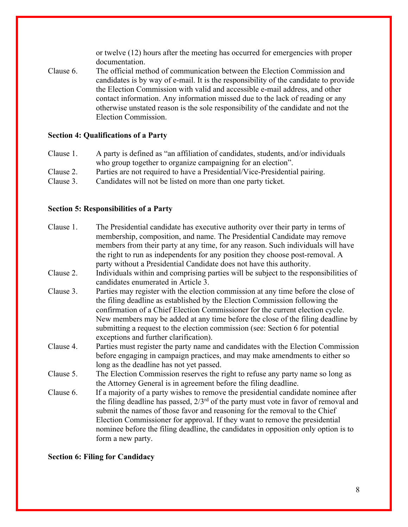or twelve (12) hours after the meeting has occurred for emergencies with proper documentation.

Clause 6. The official method of communication between the Election Commission and candidates is by way of e-mail. It is the responsibility of the candidate to provide the Election Commission with valid and accessible e-mail address, and other contact information. Any information missed due to the lack of reading or any otherwise unstated reason is the sole responsibility of the candidate and not the Election Commission.

#### **Section 4: Qualifications of a Party**

Clause 1. A party is defined as "an affiliation of candidates, students, and/or individuals who group together to organize campaigning for an election". Clause 2. Parties are not required to have a Presidential/Vice-Presidential pairing. Clause 3. Candidates will not be listed on more than one party ticket.

#### **Section 5: Responsibilities of a Party**

| Clause 1. | The Presidential candidate has executive authority over their party in terms of                                                                              |
|-----------|--------------------------------------------------------------------------------------------------------------------------------------------------------------|
|           | membership, composition, and name. The Presidential Candidate may remove<br>members from their party at any time, for any reason. Such individuals will have |
|           | the right to run as independents for any position they choose post-removal. A                                                                                |
|           | party without a Presidential Candidate does not have this authority.                                                                                         |
| Clause 2. | Individuals within and comprising parties will be subject to the responsibilities of<br>candidates enumerated in Article 3.                                  |
| Clause 3. | Parties may register with the election commission at any time before the close of                                                                            |
|           | the filing deadline as established by the Election Commission following the                                                                                  |
|           | confirmation of a Chief Election Commissioner for the current election cycle.                                                                                |
|           | New members may be added at any time before the close of the filing deadline by                                                                              |
|           | submitting a request to the election commission (see: Section 6 for potential                                                                                |
|           | exceptions and further clarification).                                                                                                                       |
| Clause 4. | Parties must register the party name and candidates with the Election Commission                                                                             |
|           | before engaging in campaign practices, and may make amendments to either so                                                                                  |
|           | long as the deadline has not yet passed.                                                                                                                     |
| Clause 5. | The Election Commission reserves the right to refuse any party name so long as<br>the Attorney General is in agreement before the filing deadline.           |
| Clause 6. | If a majority of a party wishes to remove the presidential candidate nominee after                                                                           |
|           | the filing deadline has passed, $2/3^{rd}$ of the party must vote in favor of removal and                                                                    |
|           | submit the names of those favor and reasoning for the removal to the Chief                                                                                   |
|           | Election Commissioner for approval. If they want to remove the presidential                                                                                  |
|           | nominee before the filing deadline, the candidates in opposition only option is to                                                                           |
|           | form a new party.                                                                                                                                            |
|           |                                                                                                                                                              |

#### **Section 6: Filing for Candidacy**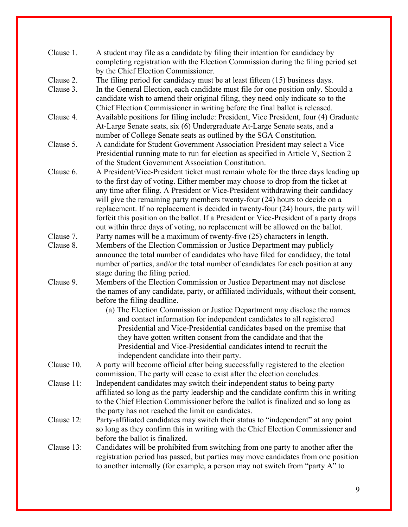|            | completing registration with the Election Commission during the filing period set                                                                                  |
|------------|--------------------------------------------------------------------------------------------------------------------------------------------------------------------|
|            | by the Chief Election Commissioner.                                                                                                                                |
| Clause 2.  | The filing period for candidacy must be at least fifteen (15) business days.                                                                                       |
| Clause 3.  | In the General Election, each candidate must file for one position only. Should a                                                                                  |
|            | candidate wish to amend their original filing, they need only indicate so to the                                                                                   |
|            | Chief Election Commissioner in writing before the final ballot is released.                                                                                        |
| Clause 4.  | Available positions for filing include: President, Vice President, four (4) Graduate                                                                               |
|            | At-Large Senate seats, six (6) Undergraduate At-Large Senate seats, and a                                                                                          |
|            | number of College Senate seats as outlined by the SGA Constitution.                                                                                                |
| Clause 5.  | A candidate for Student Government Association President may select a Vice                                                                                         |
|            | Presidential running mate to run for election as specified in Article V, Section 2                                                                                 |
|            | of the Student Government Association Constitution.                                                                                                                |
| Clause 6.  | A President/Vice-President ticket must remain whole for the three days leading up                                                                                  |
|            | to the first day of voting. Either member may choose to drop from the ticket at                                                                                    |
|            | any time after filing. A President or Vice-President withdrawing their candidacy                                                                                   |
|            | will give the remaining party members twenty-four (24) hours to decide on a                                                                                        |
|            | replacement. If no replacement is decided in twenty-four (24) hours, the party will                                                                                |
|            | forfeit this position on the ballot. If a President or Vice-President of a party drops                                                                             |
|            | out within three days of voting, no replacement will be allowed on the ballot.                                                                                     |
| Clause 7.  | Party names will be a maximum of twenty-five (25) characters in length.                                                                                            |
| Clause 8.  | Members of the Election Commission or Justice Department may publicly                                                                                              |
|            | announce the total number of candidates who have filed for candidacy, the total                                                                                    |
|            | number of parties, and/or the total number of candidates for each position at any                                                                                  |
|            | stage during the filing period.                                                                                                                                    |
| Clause 9.  | Members of the Election Commission or Justice Department may not disclose                                                                                          |
|            | the names of any candidate, party, or affiliated individuals, without their consent,                                                                               |
|            | before the filing deadline.                                                                                                                                        |
|            | (a) The Election Commission or Justice Department may disclose the names                                                                                           |
|            | and contact information for independent candidates to all registered                                                                                               |
|            | Presidential and Vice-Presidential candidates based on the premise that                                                                                            |
|            | they have gotten written consent from the candidate and that the                                                                                                   |
|            | Presidential and Vice-Presidential candidates intend to recruit the                                                                                                |
|            | independent candidate into their party.                                                                                                                            |
| Clause 10. | A party will become official after being successfully registered to the election                                                                                   |
|            | commission. The party will cease to exist after the election concludes.                                                                                            |
| Clause 11: | Independent candidates may switch their independent status to being party                                                                                          |
|            | affiliated so long as the party leadership and the candidate confirm this in writing                                                                               |
|            | to the Chief Election Commissioner before the ballot is finalized and so long as                                                                                   |
|            | the party has not reached the limit on candidates.                                                                                                                 |
| Clause 12: | Party-affiliated candidates may switch their status to "independent" at any point                                                                                  |
|            | so long as they confirm this in writing with the Chief Election Commissioner and<br>before the ballot is finalized.                                                |
| Clause 13: |                                                                                                                                                                    |
|            | Candidates will be prohibited from switching from one party to another after the                                                                                   |
|            | registration period has passed, but parties may move candidates from one position<br>to another internally (for example, a person may not switch from "party A" to |
|            |                                                                                                                                                                    |
|            |                                                                                                                                                                    |
|            | 9                                                                                                                                                                  |

Clause 1. A student may file as a candidate by filing their intention for candidacy by

9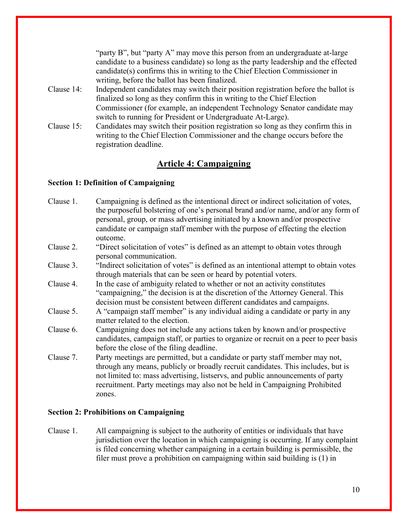|            | "party B", but "party A" may move this person from an undergraduate at-large        |
|------------|-------------------------------------------------------------------------------------|
|            | candidate to a business candidate) so long as the party leadership and the effected |
|            | candidate(s) confirms this in writing to the Chief Election Commissioner in         |
|            | writing, before the ballot has been finalized.                                      |
| Clause 14: | Independent candidates may switch their position registration before the ballot is  |
|            | finalized so long as they confirm this in writing to the Chief Election             |
|            | Commissioner (for example, an independent Technology Senator candidate may          |
|            | switch to running for President or Undergraduate At-Large).                         |
| Clause 15: | Candidates may switch their position registration so long as they confirm this in   |
|            | writing to the Chief Election Commissioner and the change occurs before the         |
|            | registration deadline.                                                              |

# **Article 4: Campaigning**

## **Section 1: Definition of Campaigning**

| Campaigning is defined as the intentional direct or indirect solicitation of votes,<br>the purposeful bolstering of one's personal brand and/or name, and/or any form of |
|--------------------------------------------------------------------------------------------------------------------------------------------------------------------------|
| personal, group, or mass advertising initiated by a known and/or prospective                                                                                             |
|                                                                                                                                                                          |
| candidate or campaign staff member with the purpose of effecting the election                                                                                            |
| outcome.                                                                                                                                                                 |
| "Direct solicitation of votes" is defined as an attempt to obtain votes through<br>personal communication.                                                               |
| "Indirect solicitation of votes" is defined as an intentional attempt to obtain votes                                                                                    |
| through materials that can be seen or heard by potential voters.                                                                                                         |
| In the case of ambiguity related to whether or not an activity constitutes                                                                                               |
| "campaigning," the decision is at the discretion of the Attorney General. This                                                                                           |
| decision must be consistent between different candidates and campaigns.                                                                                                  |
| A "campaign staff member" is any individual aiding a candidate or party in any                                                                                           |
| matter related to the election.                                                                                                                                          |
| Campaigning does not include any actions taken by known and/or prospective                                                                                               |
| candidates, campaign staff, or parties to organize or recruit on a peer to peer basis                                                                                    |
| before the close of the filing deadline.                                                                                                                                 |
| Party meetings are permitted, but a candidate or party staff member may not,                                                                                             |
| through any means, publicly or broadly recruit candidates. This includes, but is                                                                                         |
| not limited to: mass advertising, listservs, and public announcements of party                                                                                           |
| recruitment. Party meetings may also not be held in Campaigning Prohibited                                                                                               |
| zones.                                                                                                                                                                   |
|                                                                                                                                                                          |

## **Section 2: Prohibitions on Campaigning**

Clause 1. All campaigning is subject to the authority of entities or individuals that have jurisdiction over the location in which campaigning is occurring. If any complaint is filed concerning whether campaigning in a certain building is permissible, the filer must prove a prohibition on campaigning within said building is (1) in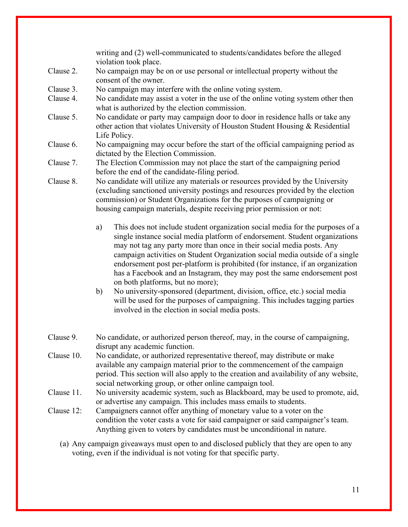writing and (2) well-communicated to students/candidates before the alleged violation took place.

- Clause 2. No campaign may be on or use personal or intellectual property without the consent of the owner.
- Clause 3. No campaign may interfere with the online voting system.
- Clause 4. No candidate may assist a voter in the use of the online voting system other then what is authorized by the election commission.
- Clause 5. No candidate or party may campaign door to door in residence halls or take any other action that violates University of Houston Student Housing & Residential Life Policy.
- Clause 6. No campaigning may occur before the start of the official campaigning period as dictated by the Election Commission.
- Clause 7. The Election Commission may not place the start of the campaigning period before the end of the candidate-filing period.
- Clause 8. No candidate will utilize any materials or resources provided by the University (excluding sanctioned university postings and resources provided by the election commission) or Student Organizations for the purposes of campaigning or housing campaign materials, despite receiving prior permission or not:
	- a) This does not include student organization social media for the purposes of a single instance social media platform of endorsement. Student organizations may not tag any party more than once in their social media posts. Any campaign activities on Student Organization social media outside of a single endorsement post per-platform is prohibited (for instance, if an organization has a Facebook and an Instagram, they may post the same endorsement post on both platforms, but no more);
	- b) No university-sponsored (department, division, office, etc.) social media will be used for the purposes of campaigning. This includes tagging parties involved in the election in social media posts.
- Clause 9. No candidate, or authorized person thereof, may, in the course of campaigning, disrupt any academic function.
- Clause 10. No candidate, or authorized representative thereof, may distribute or make available any campaign material prior to the commencement of the campaign period. This section will also apply to the creation and availability of any website, social networking group, or other online campaign tool.
- Clause 11. No university academic system, such as Blackboard, may be used to promote, aid, or advertise any campaign. This includes mass emails to students.
- Clause 12: Campaigners cannot offer anything of monetary value to a voter on the condition the voter casts a vote for said campaigner or said campaigner's team. Anything given to voters by candidates must be unconditional in nature.
	- (a) Any campaign giveaways must open to and disclosed publicly that they are open to any voting, even if the individual is not voting for that specific party.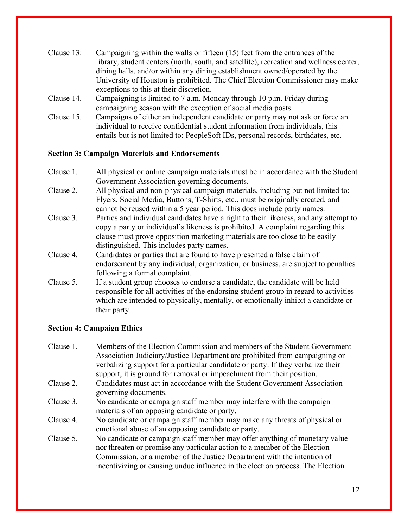- Clause 13: Campaigning within the walls or fifteen (15) feet from the entrances of the library, student centers (north, south, and satellite), recreation and wellness center, dining halls, and/or within any dining establishment owned/operated by the University of Houston is prohibited. The Chief Election Commissioner may make exceptions to this at their discretion.
- Clause 14. Campaigning is limited to 7 a.m. Monday through 10 p.m. Friday during campaigning season with the exception of social media posts.
- Clause 15. Campaigns of either an independent candidate or party may not ask or force an individual to receive confidential student information from individuals, this entails but is not limited to: PeopleSoft IDs, personal records, birthdates, etc.

## **Section 3: Campaign Materials and Endorsements**

| Clause 1. | All physical or online campaign materials must be in accordance with the Student      |
|-----------|---------------------------------------------------------------------------------------|
|           | Government Association governing documents.                                           |
| Clause 2. | All physical and non-physical campaign materials, including but not limited to:       |
|           | Flyers, Social Media, Buttons, T-Shirts, etc., must be originally created, and        |
|           | cannot be reused within a 5 year period. This does include party names.               |
| Clause 3. | Parties and individual candidates have a right to their likeness, and any attempt to  |
|           | copy a party or individual's likeness is prohibited. A complaint regarding this       |
|           | clause must prove opposition marketing materials are too close to be easily           |
|           | distinguished. This includes party names.                                             |
| Clause 4. | Candidates or parties that are found to have presented a false claim of               |
|           | endorsement by any individual, organization, or business, are subject to penalties    |
|           | following a formal complaint.                                                         |
| Clause 5. | If a student group chooses to endorse a candidate, the candidate will be held         |
|           | responsible for all activities of the endorsing student group in regard to activities |
|           | which are intended to physically, mentally, or emotionally inhibit a candidate or     |
|           | their party.                                                                          |
|           |                                                                                       |

## **Section 4: Campaign Ethics**

Clause 1. Members of the Election Commission and members of the Student Government Association Judiciary/Justice Department are prohibited from campaigning or verbalizing support for a particular candidate or party. If they verbalize their support, it is ground for removal or impeachment from their position. Clause 2. Candidates must act in accordance with the Student Government Association governing documents. Clause 3. No candidate or campaign staff member may interfere with the campaign materials of an opposing candidate or party. Clause 4. No candidate or campaign staff member may make any threats of physical or emotional abuse of an opposing candidate or party. Clause 5. No candidate or campaign staff member may offer anything of monetary value nor threaten or promise any particular action to a member of the Election Commission, or a member of the Justice Department with the intention of

incentivizing or causing undue influence in the election process. The Election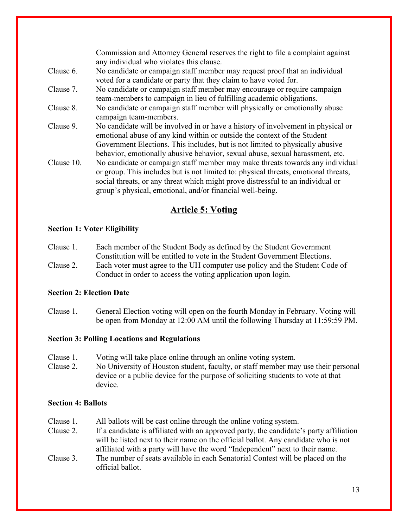Commission and Attorney General reserves the right to file a complaint against any individual who violates this clause. Clause 6. No candidate or campaign staff member may request proof that an individual voted for a candidate or party that they claim to have voted for. Clause 7. No candidate or campaign staff member may encourage or require campaign team-members to campaign in lieu of fulfilling academic obligations. Clause 8. No candidate or campaign staff member will physically or emotionally abuse campaign team-members. Clause 9. No candidate will be involved in or have a history of involvement in physical or emotional abuse of any kind within or outside the context of the Student Government Elections. This includes, but is not limited to physically abusive behavior, emotionally abusive behavior, sexual abuse, sexual harassment, etc. Clause 10. No candidate or campaign staff member may make threats towards any individual or group. This includes but is not limited to: physical threats, emotional threats, social threats, or any threat which might prove distressful to an individual or group's physical, emotional, and/or financial well-being.

# **Article 5: Voting**

## **Section 1: Voter Eligibility**

- Clause 1. Each member of the Student Body as defined by the Student Government Constitution will be entitled to vote in the Student Government Elections.
- Clause 2. Each voter must agree to the UH computer use policy and the Student Code of Conduct in order to access the voting application upon login.

## **Section 2: Election Date**

Clause 1. General Election voting will open on the fourth Monday in February. Voting will be open from Monday at 12:00 AM until the following Thursday at 11:59:59 PM.

## **Section 3: Polling Locations and Regulations**

- Clause 1. Voting will take place online through an online voting system.
- Clause 2. No University of Houston student, faculty, or staff member may use their personal device or a public device for the purpose of soliciting students to vote at that device.

## **Section 4: Ballots**

- Clause 1. All ballots will be cast online through the online voting system.
- Clause 2. If a candidate is affiliated with an approved party, the candidate's party affiliation will be listed next to their name on the official ballot. Any candidate who is not affiliated with a party will have the word "Independent" next to their name.
- Clause 3. The number of seats available in each Senatorial Contest will be placed on the official ballot.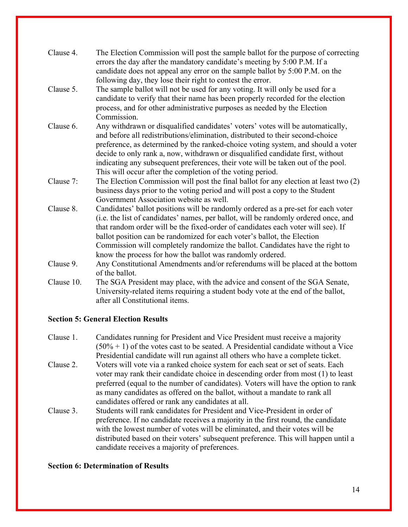| Clause 4.  | The Election Commission will post the sample ballot for the purpose of correcting<br>errors the day after the mandatory candidate's meeting by 5:00 P.M. If a<br>candidate does not appeal any error on the sample ballot by 5:00 P.M. on the<br>following day, they lose their right to contest the error.                                                                                                                                                                              |
|------------|------------------------------------------------------------------------------------------------------------------------------------------------------------------------------------------------------------------------------------------------------------------------------------------------------------------------------------------------------------------------------------------------------------------------------------------------------------------------------------------|
| Clause 5.  | The sample ballot will not be used for any voting. It will only be used for a<br>candidate to verify that their name has been properly recorded for the election<br>process, and for other administrative purposes as needed by the Election<br>Commission.                                                                                                                                                                                                                              |
| Clause 6.  | Any withdrawn or disqualified candidates' voters' votes will be automatically,<br>and before all redistributions/elimination, distributed to their second-choice<br>preference, as determined by the ranked-choice voting system, and should a voter<br>decide to only rank a, now, withdrawn or disqualified candidate first, without<br>indicating any subsequent preferences, their vote will be taken out of the pool.<br>This will occur after the completion of the voting period. |
| Clause 7:  | The Election Commission will post the final ballot for any election at least two (2)<br>business days prior to the voting period and will post a copy to the Student<br>Government Association website as well.                                                                                                                                                                                                                                                                          |
| Clause 8.  | Candidates' ballot positions will be randomly ordered as a pre-set for each voter<br>(i.e. the list of candidates' names, per ballot, will be randomly ordered once, and<br>that random order will be the fixed-order of candidates each voter will see). If<br>ballot position can be randomized for each voter's ballot, the Election<br>Commission will completely randomize the ballot. Candidates have the right to<br>know the process for how the ballot was randomly ordered.    |
| Clause 9.  | Any Constitutional Amendments and/or referendums will be placed at the bottom<br>of the ballot.                                                                                                                                                                                                                                                                                                                                                                                          |
| Clause 10. | The SGA President may place, with the advice and consent of the SGA Senate,<br>University-related items requiring a student body vote at the end of the ballot,<br>after all Constitutional items.                                                                                                                                                                                                                                                                                       |

## **Section 5: General Election Results**

- Clause 1. Candidates running for President and Vice President must receive a majority  $(50\% + 1)$  of the votes cast to be seated. A Presidential candidate without a Vice Presidential candidate will run against all others who have a complete ticket.
- Clause 2. Voters will vote via a ranked choice system for each seat or set of seats. Each voter may rank their candidate choice in descending order from most (1) to least preferred (equal to the number of candidates). Voters will have the option to rank as many candidates as offered on the ballot, without a mandate to rank all candidates offered or rank any candidates at all.
- Clause 3. Students will rank candidates for President and Vice-President in order of preference. If no candidate receives a majority in the first round, the candidate with the lowest number of votes will be eliminated, and their votes will be distributed based on their voters' subsequent preference. This will happen until a candidate receives a majority of preferences.

## **Section 6: Determination of Results**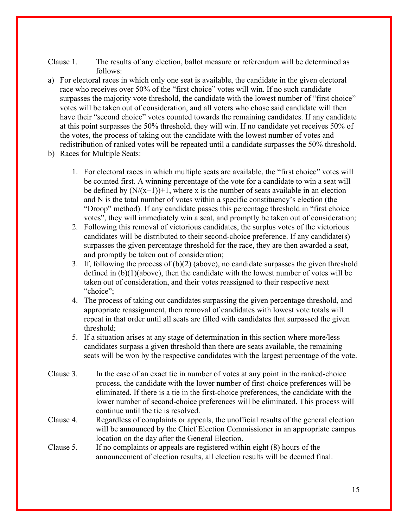- Clause 1. The results of any election, ballot measure or referendum will be determined as follows:
- a) For electoral races in which only one seat is available, the candidate in the given electoral race who receives over 50% of the "first choice" votes will win. If no such candidate surpasses the majority vote threshold, the candidate with the lowest number of "first choice" votes will be taken out of consideration, and all voters who chose said candidate will then have their "second choice" votes counted towards the remaining candidates. If any candidate at this point surpasses the 50% threshold, they will win. If no candidate yet receives 50% of the votes, the process of taking out the candidate with the lowest number of votes and redistribution of ranked votes will be repeated until a candidate surpasses the 50% threshold.
- b) Races for Multiple Seats:
	- 1. For electoral races in which multiple seats are available, the "first choice" votes will be counted first. A winning percentage of the vote for a candidate to win a seat will be defined by  $(N/(x+1))+1$ , where x is the number of seats available in an election and N is the total number of votes within a specific constituency's election (the "Droop" method). If any candidate passes this percentage threshold in "first choice votes", they will immediately win a seat, and promptly be taken out of consideration;
	- 2. Following this removal of victorious candidates, the surplus votes of the victorious candidates will be distributed to their second-choice preference. If any candidate(s) surpasses the given percentage threshold for the race, they are then awarded a seat, and promptly be taken out of consideration;
	- 3. If, following the process of  $(b)(2)$  (above), no candidate surpasses the given threshold defined in (b)(1)(above), then the candidate with the lowest number of votes will be taken out of consideration, and their votes reassigned to their respective next "choice";
	- 4. The process of taking out candidates surpassing the given percentage threshold, and appropriate reassignment, then removal of candidates with lowest vote totals will repeat in that order until all seats are filled with candidates that surpassed the given threshold;
	- 5. If a situation arises at any stage of determination in this section where more/less candidates surpass a given threshold than there are seats available, the remaining seats will be won by the respective candidates with the largest percentage of the vote.
- Clause 3. In the case of an exact tie in number of votes at any point in the ranked-choice process, the candidate with the lower number of first-choice preferences will be eliminated. If there is a tie in the first-choice preferences, the candidate with the lower number of second-choice preferences will be eliminated. This process will continue until the tie is resolved.
- Clause 4. Regardless of complaints or appeals, the unofficial results of the general election will be announced by the Chief Election Commissioner in an appropriate campus location on the day after the General Election.
- Clause 5. If no complaints or appeals are registered within eight (8) hours of the announcement of election results, all election results will be deemed final.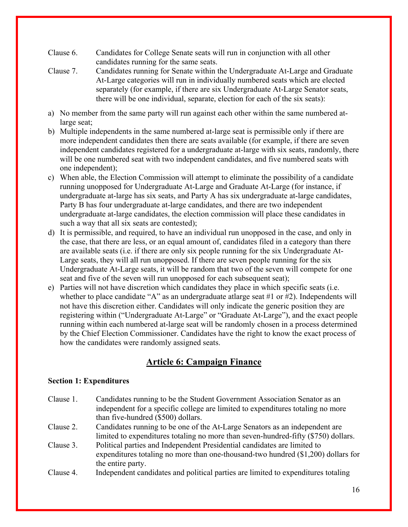- Clause 6. Candidates for College Senate seats will run in conjunction with all other candidates running for the same seats.
- Clause 7. Candidates running for Senate within the Undergraduate At-Large and Graduate At-Large categories will run in individually numbered seats which are elected separately (for example, if there are six Undergraduate At-Large Senator seats, there will be one individual, separate, election for each of the six seats):
- a) No member from the same party will run against each other within the same numbered atlarge seat;
- b) Multiple independents in the same numbered at-large seat is permissible only if there are more independent candidates then there are seats available (for example, if there are seven independent candidates registered for a undergraduate at-large with six seats, randomly, there will be one numbered seat with two independent candidates, and five numbered seats with one independent);
- c) When able, the Election Commission will attempt to eliminate the possibility of a candidate running unopposed for Undergraduate At-Large and Graduate At-Large (for instance, if undergraduate at-large has six seats, and Party A has six undergraduate at-large candidates, Party B has four undergraduate at-large candidates, and there are two independent undergraduate at-large candidates, the election commission will place these candidates in such a way that all six seats are contested);
- d) It is permissible, and required, to have an individual run unopposed in the case, and only in the case, that there are less, or an equal amount of, candidates filed in a category than there are available seats (i.e. if there are only six people running for the six Undergraduate At-Large seats, they will all run unopposed. If there are seven people running for the six Undergraduate At-Large seats, it will be random that two of the seven will compete for one seat and five of the seven will run unopposed for each subsequent seat);
- e) Parties will not have discretion which candidates they place in which specific seats (i.e. whether to place candidate "A" as an undergraduate atlarge seat #1 or #2). Independents will not have this discretion either. Candidates will only indicate the generic position they are registering within ("Undergraduate At-Large" or "Graduate At-Large"), and the exact people running within each numbered at-large seat will be randomly chosen in a process determined by the Chief Election Commissioner. Candidates have the right to know the exact process of how the candidates were randomly assigned seats.

# **Article 6: Campaign Finance**

## **Section 1: Expenditures**

- Clause 1. Candidates running to be the Student Government Association Senator as an independent for a specific college are limited to expenditures totaling no more than five-hundred (\$500) dollars.
- Clause 2. Candidates running to be one of the At-Large Senators as an independent are limited to expenditures totaling no more than seven-hundred-fifty (\$750) dollars.
- Clause 3. Political parties and Independent Presidential candidates are limited to expenditures totaling no more than one-thousand-two hundred (\$1,200) dollars for the entire party.
- Clause 4. Independent candidates and political parties are limited to expenditures totaling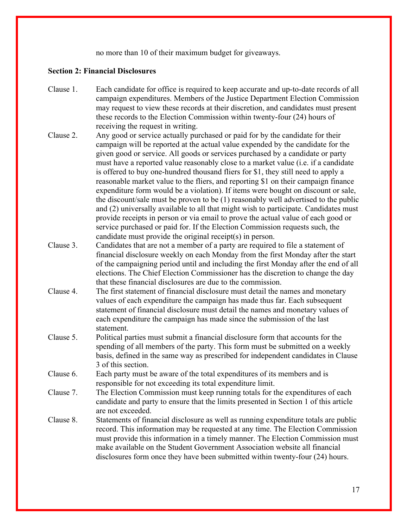no more than 10 of their maximum budget for giveaways.

#### **Section 2: Financial Disclosures**

- Clause 1. Each candidate for office is required to keep accurate and up-to-date records of all campaign expenditures. Members of the Justice Department Election Commission may request to view these records at their discretion, and candidates must present these records to the Election Commission within twenty-four (24) hours of receiving the request in writing.
- Clause 2. Any good or service actually purchased or paid for by the candidate for their campaign will be reported at the actual value expended by the candidate for the given good or service. All goods or services purchased by a candidate or party must have a reported value reasonably close to a market value (i.e. if a candidate is offered to buy one-hundred thousand fliers for \$1, they still need to apply a reasonable market value to the fliers, and reporting \$1 on their campaign finance expenditure form would be a violation). If items were bought on discount or sale, the discount/sale must be proven to be (1) reasonably well advertised to the public and (2) universally available to all that might wish to participate. Candidates must provide receipts in person or via email to prove the actual value of each good or service purchased or paid for. If the Election Commission requests such, the candidate must provide the original receipt(s) in person.
- Clause 3. Candidates that are not a member of a party are required to file a statement of financial disclosure weekly on each Monday from the first Monday after the start of the campaigning period until and including the first Monday after the end of all elections. The Chief Election Commissioner has the discretion to change the day that these financial disclosures are due to the commission.
- Clause 4. The first statement of financial disclosure must detail the names and monetary values of each expenditure the campaign has made thus far. Each subsequent statement of financial disclosure must detail the names and monetary values of each expenditure the campaign has made since the submission of the last statement.
- Clause 5. Political parties must submit a financial disclosure form that accounts for the spending of all members of the party. This form must be submitted on a weekly basis, defined in the same way as prescribed for independent candidates in Clause 3 of this section.
- Clause 6. Each party must be aware of the total expenditures of its members and is responsible for not exceeding its total expenditure limit.
- Clause 7. The Election Commission must keep running totals for the expenditures of each candidate and party to ensure that the limits presented in Section 1 of this article are not exceeded.
- Clause 8. Statements of financial disclosure as well as running expenditure totals are public record. This information may be requested at any time. The Election Commission must provide this information in a timely manner. The Election Commission must make available on the Student Government Association website all financial disclosures form once they have been submitted within twenty-four (24) hours.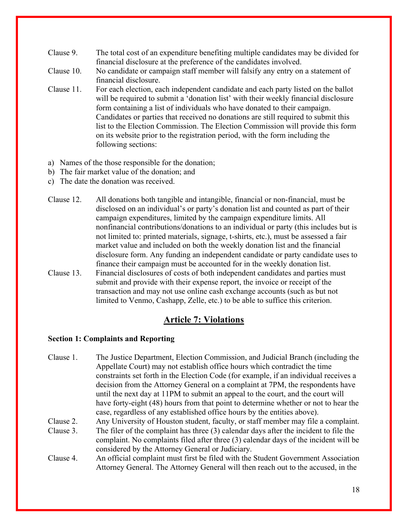- Clause 9. The total cost of an expenditure benefiting multiple candidates may be divided for financial disclosure at the preference of the candidates involved.
- Clause 10. No candidate or campaign staff member will falsify any entry on a statement of financial disclosure.
- Clause 11. For each election, each independent candidate and each party listed on the ballot will be required to submit a 'donation list' with their weekly financial disclosure form containing a list of individuals who have donated to their campaign. Candidates or parties that received no donations are still required to submit this list to the Election Commission. The Election Commission will provide this form on its website prior to the registration period, with the form including the following sections:
- a) Names of the those responsible for the donation;
- b) The fair market value of the donation; and
- c) The date the donation was received.
- Clause 12. All donations both tangible and intangible, financial or non-financial, must be disclosed on an individual's or party's donation list and counted as part of their campaign expenditures, limited by the campaign expenditure limits. All nonfinancial contributions/donations to an individual or party (this includes but is not limited to: printed materials, signage, t-shirts, etc.), must be assessed a fair market value and included on both the weekly donation list and the financial disclosure form. Any funding an independent candidate or party candidate uses to finance their campaign must be accounted for in the weekly donation list.
- Clause 13. Financial disclosures of costs of both independent candidates and parties must submit and provide with their expense report, the invoice or receipt of the transaction and may not use online cash exchange accounts (such as but not limited to Venmo, Cashapp, Zelle, etc.) to be able to suffice this criterion.

## **Article 7: Violations**

## **Section 1: Complaints and Reporting**

Clause 1. The Justice Department, Election Commission, and Judicial Branch (including the Appellate Court) may not establish office hours which contradict the time constraints set forth in the Election Code (for example, if an individual receives a decision from the Attorney General on a complaint at 7PM, the respondents have until the next day at 11PM to submit an appeal to the court, and the court will have forty-eight (48) hours from that point to determine whether or not to hear the case, regardless of any established office hours by the entities above).

Clause 2. Any University of Houston student, faculty, or staff member may file a complaint.

- Clause 3. The filer of the complaint has three (3) calendar days after the incident to file the complaint. No complaints filed after three (3) calendar days of the incident will be considered by the Attorney General or Judiciary.
- Clause 4. An official complaint must first be filed with the Student Government Association Attorney General. The Attorney General will then reach out to the accused, in the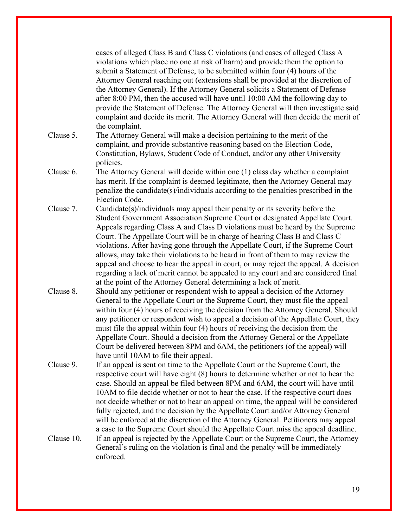|            | cases of alleged Class B and Class C violations (and cases of alleged Class A<br>violations which place no one at risk of harm) and provide them the option to<br>submit a Statement of Defense, to be submitted within four (4) hours of the<br>Attorney General reaching out (extensions shall be provided at the discretion of<br>the Attorney General). If the Attorney General solicits a Statement of Defense<br>after 8:00 PM, then the accused will have until 10:00 AM the following day to<br>provide the Statement of Defense. The Attorney General will then investigate said<br>complaint and decide its merit. The Attorney General will then decide the merit of<br>the complaint.                                                           |
|------------|-------------------------------------------------------------------------------------------------------------------------------------------------------------------------------------------------------------------------------------------------------------------------------------------------------------------------------------------------------------------------------------------------------------------------------------------------------------------------------------------------------------------------------------------------------------------------------------------------------------------------------------------------------------------------------------------------------------------------------------------------------------|
| Clause 5.  | The Attorney General will make a decision pertaining to the merit of the<br>complaint, and provide substantive reasoning based on the Election Code,<br>Constitution, Bylaws, Student Code of Conduct, and/or any other University<br>policies.                                                                                                                                                                                                                                                                                                                                                                                                                                                                                                             |
| Clause 6.  | The Attorney General will decide within one (1) class day whether a complaint<br>has merit. If the complaint is deemed legitimate, then the Attorney General may<br>penalize the candidate(s)/individuals according to the penalties prescribed in the<br>Election Code.                                                                                                                                                                                                                                                                                                                                                                                                                                                                                    |
| Clause 7.  | $C$ andidate $(s)/$ individuals may appeal their penalty or its severity before the<br>Student Government Association Supreme Court or designated Appellate Court.<br>Appeals regarding Class A and Class D violations must be heard by the Supreme<br>Court. The Appellate Court will be in charge of hearing Class B and Class C<br>violations. After having gone through the Appellate Court, if the Supreme Court<br>allows, may take their violations to be heard in front of them to may review the<br>appeal and choose to hear the appeal in court, or may reject the appeal. A decision<br>regarding a lack of merit cannot be appealed to any court and are considered final<br>at the point of the Attorney General determining a lack of merit. |
| Clause 8.  | Should any petitioner or respondent wish to appeal a decision of the Attorney<br>General to the Appellate Court or the Supreme Court, they must file the appeal<br>within four (4) hours of receiving the decision from the Attorney General. Should<br>any petitioner or respondent wish to appeal a decision of the Appellate Court, they<br>must file the appeal within four (4) hours of receiving the decision from the<br>Appellate Court. Should a decision from the Attorney General or the Appellate<br>Court be delivered between 8PM and 6AM, the petitioners (of the appeal) will<br>have until 10AM to file their appeal.                                                                                                                      |
| Clause 9.  | If an appeal is sent on time to the Appellate Court or the Supreme Court, the<br>respective court will have eight (8) hours to determine whether or not to hear the<br>case. Should an appeal be filed between 8PM and 6AM, the court will have until<br>10AM to file decide whether or not to hear the case. If the respective court does<br>not decide whether or not to hear an appeal on time, the appeal will be considered<br>fully rejected, and the decision by the Appellate Court and/or Attorney General<br>will be enforced at the discretion of the Attorney General. Petitioners may appeal                                                                                                                                                   |
| Clause 10. | a case to the Supreme Court should the Appellate Court miss the appeal deadline.<br>If an appeal is rejected by the Appellate Court or the Supreme Court, the Attorney<br>General's ruling on the violation is final and the penalty will be immediately<br>enforced.                                                                                                                                                                                                                                                                                                                                                                                                                                                                                       |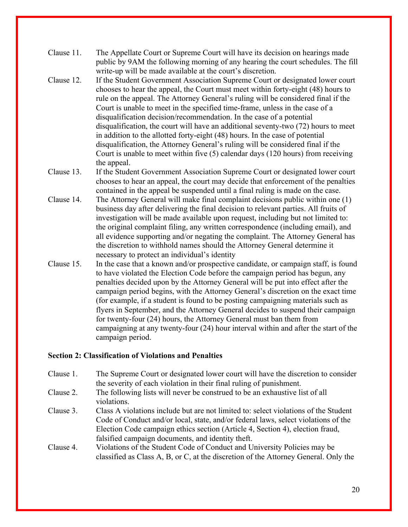- Clause 11. The Appellate Court or Supreme Court will have its decision on hearings made public by 9AM the following morning of any hearing the court schedules. The fill write-up will be made available at the court's discretion.
- Clause 12. If the Student Government Association Supreme Court or designated lower court chooses to hear the appeal, the Court must meet within forty-eight (48) hours to rule on the appeal. The Attorney General's ruling will be considered final if the Court is unable to meet in the specified time-frame, unless in the case of a disqualification decision/recommendation. In the case of a potential disqualification, the court will have an additional seventy-two (72) hours to meet in addition to the allotted forty-eight (48) hours. In the case of potential disqualification, the Attorney General's ruling will be considered final if the Court is unable to meet within five (5) calendar days (120 hours) from receiving the appeal.
- Clause 13. If the Student Government Association Supreme Court or designated lower court chooses to hear an appeal, the court may decide that enforcement of the penalties contained in the appeal be suspended until a final ruling is made on the case.
- Clause 14. The Attorney General will make final complaint decisions public within one (1) business day after delivering the final decision to relevant parties. All fruits of investigation will be made available upon request, including but not limited to: the original complaint filing, any written correspondence (including email), and all evidence supporting and/or negating the complaint. The Attorney General has the discretion to withhold names should the Attorney General determine it necessary to protect an individual's identity
- Clause 15. In the case that a known and/or prospective candidate, or campaign staff, is found to have violated the Election Code before the campaign period has begun, any penalties decided upon by the Attorney General will be put into effect after the campaign period begins, with the Attorney General's discretion on the exact time (for example, if a student is found to be posting campaigning materials such as flyers in September, and the Attorney General decides to suspend their campaign for twenty-four (24) hours, the Attorney General must ban them from campaigning at any twenty-four (24) hour interval within and after the start of the campaign period.

## **Section 2: Classification of Violations and Penalties**

- Clause 1. The Supreme Court or designated lower court will have the discretion to consider the severity of each violation in their final ruling of punishment.
- Clause 2. The following lists will never be construed to be an exhaustive list of all violations.
- Clause 3. Class A violations include but are not limited to: select violations of the Student Code of Conduct and/or local, state, and/or federal laws, select violations of the Election Code campaign ethics section (Article 4, Section 4), election fraud, falsified campaign documents, and identity theft.
- Clause 4. Violations of the Student Code of Conduct and University Policies may be classified as Class A, B, or C, at the discretion of the Attorney General. Only the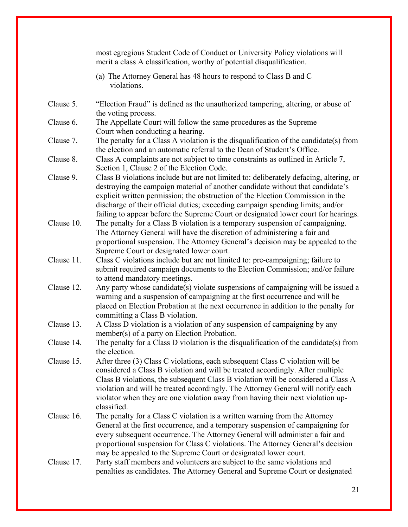|            | most egregious Student Code of Conduct or University Policy violations will<br>merit a class A classification, worthy of potential disqualification.                                                                                                                                                                                                                                                                                      |
|------------|-------------------------------------------------------------------------------------------------------------------------------------------------------------------------------------------------------------------------------------------------------------------------------------------------------------------------------------------------------------------------------------------------------------------------------------------|
|            | (a) The Attorney General has 48 hours to respond to Class B and C<br>violations.                                                                                                                                                                                                                                                                                                                                                          |
| Clause 5.  | "Election Fraud" is defined as the unauthorized tampering, altering, or abuse of<br>the voting process.                                                                                                                                                                                                                                                                                                                                   |
| Clause 6.  | The Appellate Court will follow the same procedures as the Supreme<br>Court when conducting a hearing.                                                                                                                                                                                                                                                                                                                                    |
| Clause 7.  | The penalty for a Class A violation is the disqualification of the candidate(s) from<br>the election and an automatic referral to the Dean of Student's Office.                                                                                                                                                                                                                                                                           |
| Clause 8.  | Class A complaints are not subject to time constraints as outlined in Article 7,<br>Section 1, Clause 2 of the Election Code.                                                                                                                                                                                                                                                                                                             |
| Clause 9.  | Class B violations include but are not limited to: deliberately defacing, altering, or<br>destroying the campaign material of another candidate without that candidate's<br>explicit written permission; the obstruction of the Election Commission in the<br>discharge of their official duties; exceeding campaign spending limits; and/or<br>failing to appear before the Supreme Court or designated lower court for hearings.        |
| Clause 10. | The penalty for a Class B violation is a temporary suspension of campaigning.<br>The Attorney General will have the discretion of administering a fair and<br>proportional suspension. The Attorney General's decision may be appealed to the<br>Supreme Court or designated lower court.                                                                                                                                                 |
| Clause 11. | Class C violations include but are not limited to: pre-campaigning; failure to<br>submit required campaign documents to the Election Commission; and/or failure<br>to attend mandatory meetings.                                                                                                                                                                                                                                          |
| Clause 12. | Any party whose candidate(s) violate suspensions of campaigning will be issued a<br>warning and a suspension of campaigning at the first occurrence and will be<br>placed on Election Probation at the next occurrence in addition to the penalty for<br>committing a Class B violation.                                                                                                                                                  |
| Clause 13. | A Class D violation is a violation of any suspension of campaigning by any<br>member(s) of a party on Election Probation.                                                                                                                                                                                                                                                                                                                 |
| Clause 14. | The penalty for a Class D violation is the disqualification of the candidate(s) from<br>the election.                                                                                                                                                                                                                                                                                                                                     |
| Clause 15. | After three (3) Class C violations, each subsequent Class C violation will be<br>considered a Class B violation and will be treated accordingly. After multiple<br>Class B violations, the subsequent Class B violation will be considered a Class A<br>violation and will be treated accordingly. The Attorney General will notify each<br>violator when they are one violation away from having their next violation up-<br>classified. |
| Clause 16. | The penalty for a Class C violation is a written warning from the Attorney<br>General at the first occurrence, and a temporary suspension of campaigning for<br>every subsequent occurrence. The Attorney General will administer a fair and<br>proportional suspension for Class C violations. The Attorney General's decision<br>may be appealed to the Supreme Court or designated lower court.                                        |
| Clause 17. | Party staff members and volunteers are subject to the same violations and<br>penalties as candidates. The Attorney General and Supreme Court or designated                                                                                                                                                                                                                                                                                |